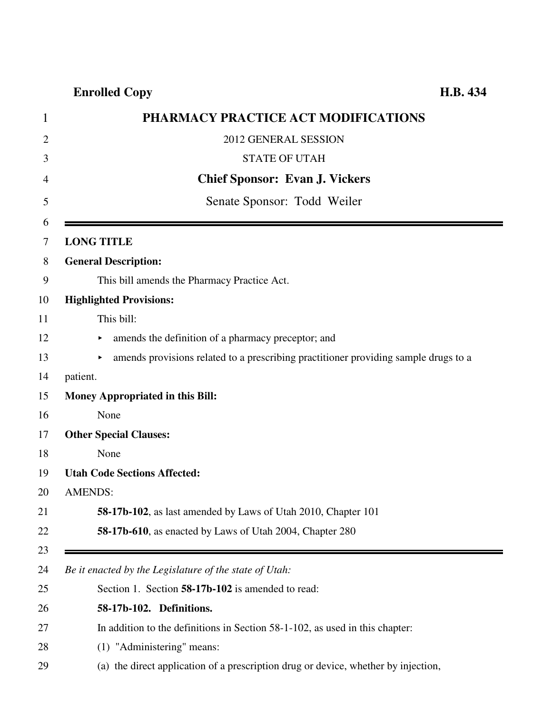| 1              | PHARMACY PRACTICE ACT MODIFICATIONS                                                      |
|----------------|------------------------------------------------------------------------------------------|
| $\overline{2}$ | 2012 GENERAL SESSION                                                                     |
| 3              | <b>STATE OF UTAH</b>                                                                     |
| 4              | <b>Chief Sponsor: Evan J. Vickers</b>                                                    |
| 5              | Senate Sponsor: Todd Weiler                                                              |
| 6<br>7         | <b>LONG TITLE</b>                                                                        |
| 8              | <b>General Description:</b>                                                              |
| 9              | This bill amends the Pharmacy Practice Act.                                              |
|                | <b>Highlighted Provisions:</b>                                                           |
|                | This bill:                                                                               |
| 12             | amends the definition of a pharmacy preceptor; and                                       |
|                | amends provisions related to a prescribing practitioner providing sample drugs to a<br>▶ |
|                | patient.                                                                                 |
| 15             | <b>Money Appropriated in this Bill:</b>                                                  |
|                | None                                                                                     |
|                | <b>Other Special Clauses:</b>                                                            |
| 18             | None                                                                                     |
| 19             | <b>Utah Code Sections Affected:</b>                                                      |
| 20             | <b>AMENDS:</b>                                                                           |
|                | <b>58-17b-102</b> , as last amended by Laws of Utah 2010, Chapter 101                    |
| 22             | 58-17b-610, as enacted by Laws of Utah 2004, Chapter 280                                 |
| 23<br>24       | Be it enacted by the Legislature of the state of Utah:                                   |
| 25             | Section 1. Section 58-17b-102 is amended to read:                                        |
| 26             | 58-17b-102. Definitions.                                                                 |
|                | In addition to the definitions in Section 58-1-102, as used in this chapter:             |
|                | (1) "Administering" means:                                                               |
| 29             | (a) the direct application of a prescription drug or device, whether by injection,       |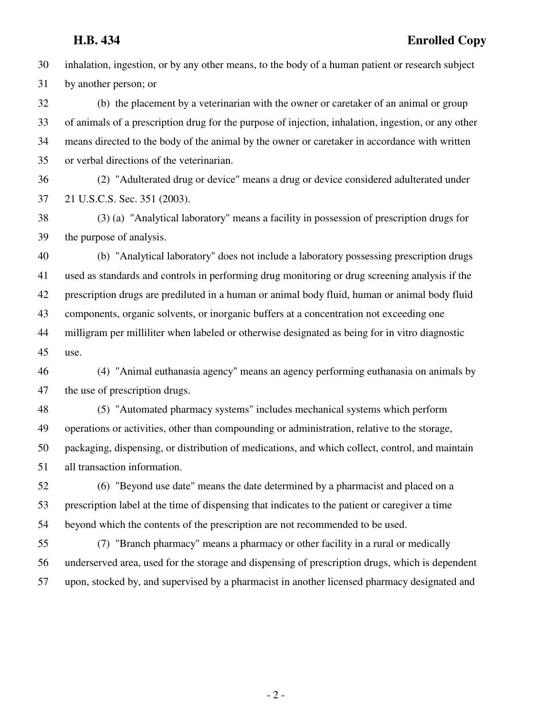30 inhalation, ingestion, or by any other means, to the body of a human patient or research subject 31 by another person; or

32 (b) the placement by a veterinarian with the owner or caretaker of an animal or group 33 of animals of a prescription drug for the purpose of injection, inhalation, ingestion, or any other 34 means directed to the body of the animal by the owner or caretaker in accordance with written 35 or verbal directions of the veterinarian.

36 (2) "Adulterated drug or device" means a drug or device considered adulterated under 37 21 U.S.C.S. Sec. 351 (2003).

38 (3) (a) "Analytical laboratory" means a facility in possession of prescription drugs for 39 the purpose of analysis.

40 (b) "Analytical laboratory" does not include a laboratory possessing prescription drugs 41 used as standards and controls in performing drug monitoring or drug screening analysis if the 42 prescription drugs are prediluted in a human or animal body fluid, human or animal body fluid 43 components, organic solvents, or inorganic buffers at a concentration not exceeding one 44 milligram per milliliter when labeled or otherwise designated as being for in vitro diagnostic 45 use.

46 (4) "Animal euthanasia agency" means an agency performing euthanasia on animals by 47 the use of prescription drugs.

48 (5) "Automated pharmacy systems" includes mechanical systems which perform 49 operations or activities, other than compounding or administration, relative to the storage, 50 packaging, dispensing, or distribution of medications, and which collect, control, and maintain 51 all transaction information.

52 (6) "Beyond use date" means the date determined by a pharmacist and placed on a 53 prescription label at the time of dispensing that indicates to the patient or caregiver a time 54 beyond which the contents of the prescription are not recommended to be used.

55 (7) "Branch pharmacy" means a pharmacy or other facility in a rural or medically 56 underserved area, used for the storage and dispensing of prescription drugs, which is dependent 57 upon, stocked by, and supervised by a pharmacist in another licensed pharmacy designated and

- 2 -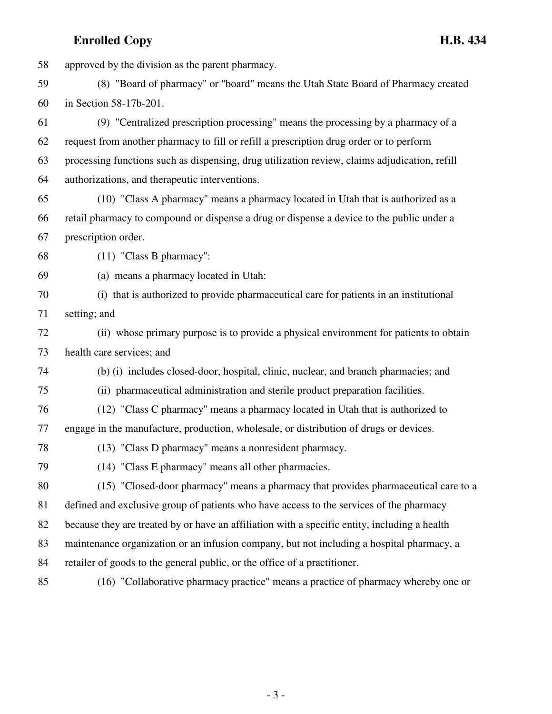58 approved by the division as the parent pharmacy. 59 (8) "Board of pharmacy" or "board" means the Utah State Board of Pharmacy created 60 in Section 58-17b-201. 61 (9) "Centralized prescription processing" means the processing by a pharmacy of a 62 request from another pharmacy to fill or refill a prescription drug order or to perform 63 processing functions such as dispensing, drug utilization review, claims adjudication, refill 64 authorizations, and therapeutic interventions. 65 (10) "Class A pharmacy" means a pharmacy located in Utah that is authorized as a 66 retail pharmacy to compound or dispense a drug or dispense a device to the public under a 67 prescription order. 68 (11) "Class B pharmacy": 69 (a) means a pharmacy located in Utah: 70 (i) that is authorized to provide pharmaceutical care for patients in an institutional 71 setting; and 72 (ii) whose primary purpose is to provide a physical environment for patients to obtain 73 health care services; and 74 (b) (i) includes closed-door, hospital, clinic, nuclear, and branch pharmacies; and 75 (ii) pharmaceutical administration and sterile product preparation facilities. 76 (12) "Class C pharmacy" means a pharmacy located in Utah that is authorized to 77 engage in the manufacture, production, wholesale, or distribution of drugs or devices. 78 (13) "Class D pharmacy" means a nonresident pharmacy. 79 (14) "Class E pharmacy" means all other pharmacies. 80 (15) "Closed-door pharmacy" means a pharmacy that provides pharmaceutical care to a 81 defined and exclusive group of patients who have access to the services of the pharmacy 82 because they are treated by or have an affiliation with a specific entity, including a health 83 maintenance organization or an infusion company, but not including a hospital pharmacy, a 84 retailer of goods to the general public, or the office of a practitioner. 85 (16) "Collaborative pharmacy practice" means a practice of pharmacy whereby one or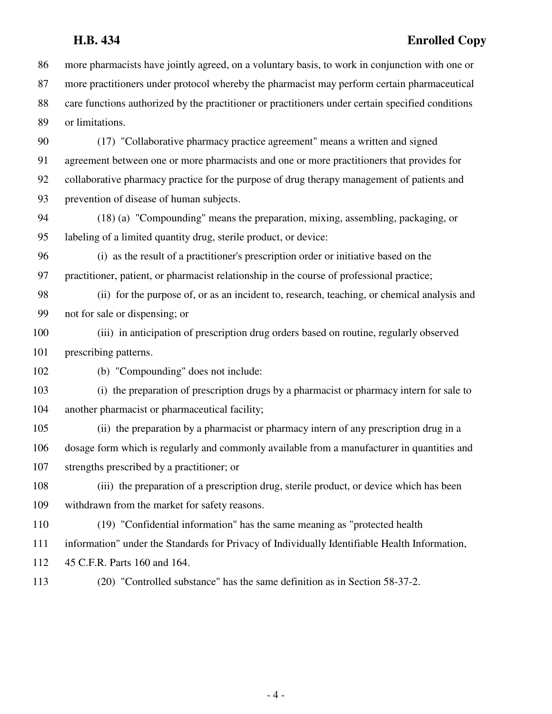86 more pharmacists have jointly agreed, on a voluntary basis, to work in conjunction with one or 87 more practitioners under protocol whereby the pharmacist may perform certain pharmaceutical 88 care functions authorized by the practitioner or practitioners under certain specified conditions 89 or limitations.

90 (17) "Collaborative pharmacy practice agreement" means a written and signed 91 agreement between one or more pharmacists and one or more practitioners that provides for 92 collaborative pharmacy practice for the purpose of drug therapy management of patients and 93 prevention of disease of human subjects.

94 (18) (a) "Compounding" means the preparation, mixing, assembling, packaging, or 95 labeling of a limited quantity drug, sterile product, or device:

96 (i) as the result of a practitioner's prescription order or initiative based on the 97 practitioner, patient, or pharmacist relationship in the course of professional practice;

98 (ii) for the purpose of, or as an incident to, research, teaching, or chemical analysis and 99 not for sale or dispensing; or

100 (iii) in anticipation of prescription drug orders based on routine, regularly observed 101 prescribing patterns.

102 (b) "Compounding" does not include:

103 (i) the preparation of prescription drugs by a pharmacist or pharmacy intern for sale to 104 another pharmacist or pharmaceutical facility;

105 (ii) the preparation by a pharmacist or pharmacy intern of any prescription drug in a 106 dosage form which is regularly and commonly available from a manufacturer in quantities and 107 strengths prescribed by a practitioner; or

108 (iii) the preparation of a prescription drug, sterile product, or device which has been 109 withdrawn from the market for safety reasons.

110 (19) "Confidential information" has the same meaning as "protected health 111 information" under the Standards for Privacy of Individually Identifiable Health Information,

112 45 C.F.R. Parts 160 and 164.

113 (20) "Controlled substance" has the same definition as in Section 58-37-2.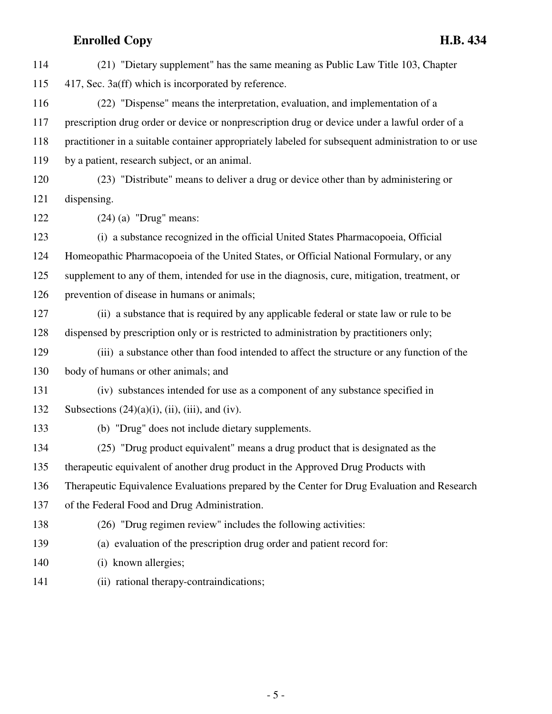| 114 | (21) "Dietary supplement" has the same meaning as Public Law Title 103, Chapter                    |
|-----|----------------------------------------------------------------------------------------------------|
| 115 | 417, Sec. 3a(ff) which is incorporated by reference.                                               |
| 116 | (22) "Dispense" means the interpretation, evaluation, and implementation of a                      |
| 117 | prescription drug order or device or nonprescription drug or device under a lawful order of a      |
| 118 | practitioner in a suitable container appropriately labeled for subsequent administration to or use |
| 119 | by a patient, research subject, or an animal.                                                      |
| 120 | (23) "Distribute" means to deliver a drug or device other than by administering or                 |
| 121 | dispensing.                                                                                        |
| 122 | $(24)$ (a) "Drug" means:                                                                           |
| 123 | (i) a substance recognized in the official United States Pharmacopoeia, Official                   |
| 124 | Homeopathic Pharmacopoeia of the United States, or Official National Formulary, or any             |
| 125 | supplement to any of them, intended for use in the diagnosis, cure, mitigation, treatment, or      |
| 126 | prevention of disease in humans or animals;                                                        |
| 127 | (ii) a substance that is required by any applicable federal or state law or rule to be             |
| 128 | dispensed by prescription only or is restricted to administration by practitioners only;           |
| 129 | (iii) a substance other than food intended to affect the structure or any function of the          |
| 130 | body of humans or other animals; and                                                               |
| 131 | (iv) substances intended for use as a component of any substance specified in                      |
| 132 | Subsections $(24)(a)(i)$ , $(ii)$ , $(iii)$ , and $(iv)$ .                                         |
| 133 | (b) "Drug" does not include dietary supplements.                                                   |
| 134 | (25) "Drug product equivalent" means a drug product that is designated as the                      |
| 135 | therapeutic equivalent of another drug product in the Approved Drug Products with                  |
| 136 | Therapeutic Equivalence Evaluations prepared by the Center for Drug Evaluation and Research        |
| 137 | of the Federal Food and Drug Administration.                                                       |
| 138 | (26) "Drug regimen review" includes the following activities:                                      |
| 139 | (a) evaluation of the prescription drug order and patient record for:                              |
| 140 | (i) known allergies;                                                                               |
|     |                                                                                                    |

141 (ii) rational therapy-contraindications;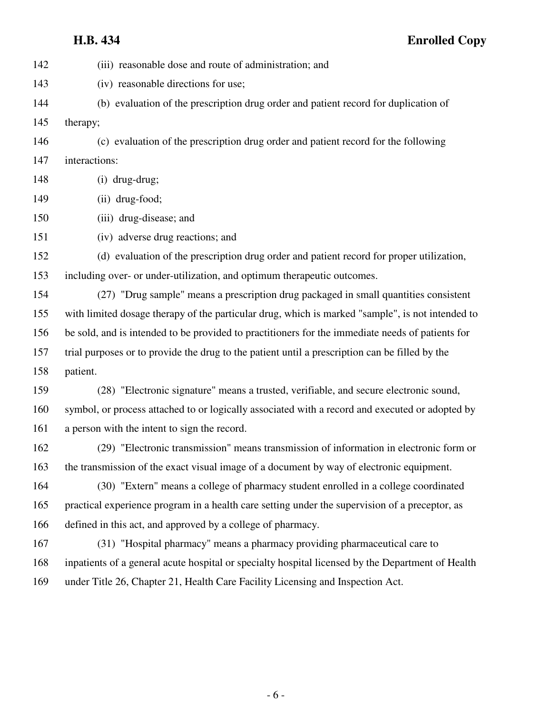142 (iii) reasonable dose and route of administration; and 143 (iv) reasonable directions for use; 144 (b) evaluation of the prescription drug order and patient record for duplication of 145 therapy; 146 (c) evaluation of the prescription drug order and patient record for the following 147 interactions: 148 (i) drug-drug; 149 (ii) drug-food; 150 (iii) drug-disease; and 151 (iv) adverse drug reactions; and 152 (d) evaluation of the prescription drug order and patient record for proper utilization, 153 including over- or under-utilization, and optimum therapeutic outcomes. 154 (27) "Drug sample" means a prescription drug packaged in small quantities consistent 155 with limited dosage therapy of the particular drug, which is marked "sample", is not intended to 156 be sold, and is intended to be provided to practitioners for the immediate needs of patients for 157 trial purposes or to provide the drug to the patient until a prescription can be filled by the 158 patient. 159 (28) "Electronic signature" means a trusted, verifiable, and secure electronic sound, 160 symbol, or process attached to or logically associated with a record and executed or adopted by 161 a person with the intent to sign the record. 162 (29) "Electronic transmission" means transmission of information in electronic form or 163 the transmission of the exact visual image of a document by way of electronic equipment. 164 (30) "Extern" means a college of pharmacy student enrolled in a college coordinated 165 practical experience program in a health care setting under the supervision of a preceptor, as 166 defined in this act, and approved by a college of pharmacy. 167 (31) "Hospital pharmacy" means a pharmacy providing pharmaceutical care to 168 inpatients of a general acute hospital or specialty hospital licensed by the Department of Health 169 under Title 26, Chapter 21, Health Care Facility Licensing and Inspection Act.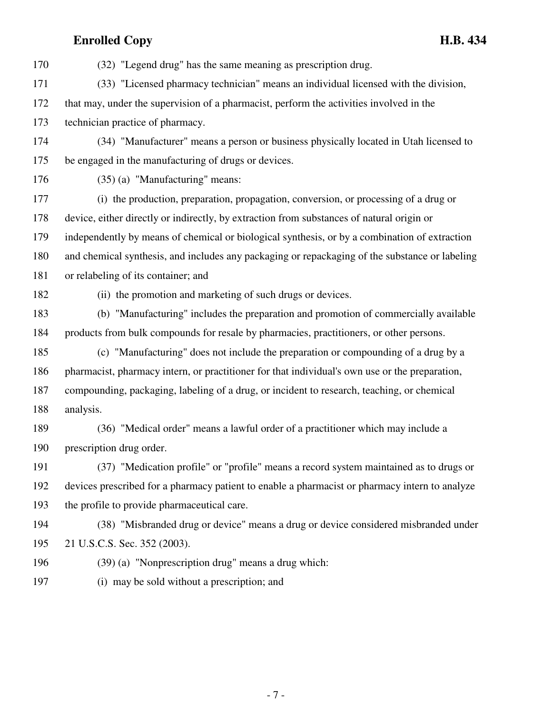170 (32) "Legend drug" has the same meaning as prescription drug. 171 (33) "Licensed pharmacy technician" means an individual licensed with the division, 172 that may, under the supervision of a pharmacist, perform the activities involved in the 173 technician practice of pharmacy. 174 (34) "Manufacturer" means a person or business physically located in Utah licensed to 175 be engaged in the manufacturing of drugs or devices. 176 (35) (a) "Manufacturing" means: 177 (i) the production, preparation, propagation, conversion, or processing of a drug or 178 device, either directly or indirectly, by extraction from substances of natural origin or 179 independently by means of chemical or biological synthesis, or by a combination of extraction 180 and chemical synthesis, and includes any packaging or repackaging of the substance or labeling 181 or relabeling of its container; and 182 (ii) the promotion and marketing of such drugs or devices. 183 (b) "Manufacturing" includes the preparation and promotion of commercially available 184 products from bulk compounds for resale by pharmacies, practitioners, or other persons. 185 (c) "Manufacturing" does not include the preparation or compounding of a drug by a 186 pharmacist, pharmacy intern, or practitioner for that individual's own use or the preparation, 187 compounding, packaging, labeling of a drug, or incident to research, teaching, or chemical 188 analysis. 189 (36) "Medical order" means a lawful order of a practitioner which may include a 190 prescription drug order. 191 (37) "Medication profile" or "profile" means a record system maintained as to drugs or 192 devices prescribed for a pharmacy patient to enable a pharmacist or pharmacy intern to analyze 193 the profile to provide pharmaceutical care. 194 (38) "Misbranded drug or device" means a drug or device considered misbranded under 195 21 U.S.C.S. Sec. 352 (2003). 196 (39) (a) "Nonprescription drug" means a drug which:

197 (i) may be sold without a prescription; and

- 7 -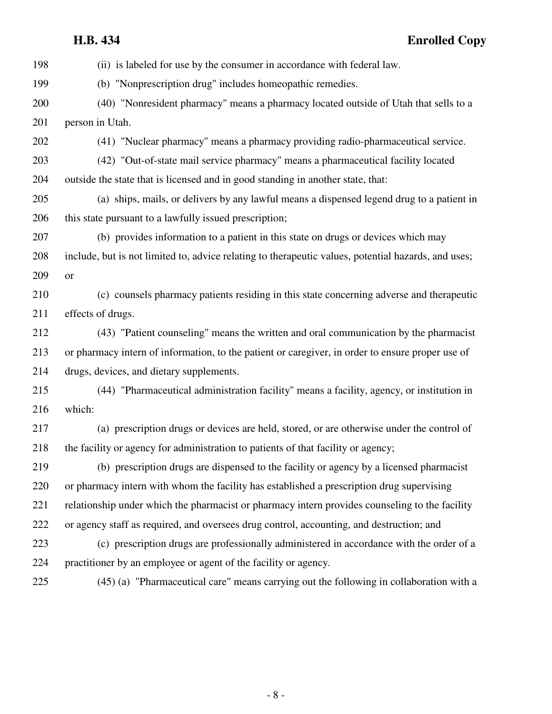198 (ii) is labeled for use by the consumer in accordance with federal law. 199 (b) "Nonprescription drug" includes homeopathic remedies. 200 (40) "Nonresident pharmacy" means a pharmacy located outside of Utah that sells to a 201 person in Utah. 202 (41) "Nuclear pharmacy" means a pharmacy providing radio-pharmaceutical service. 203 (42) "Out-of-state mail service pharmacy" means a pharmaceutical facility located 204 outside the state that is licensed and in good standing in another state, that: 205 (a) ships, mails, or delivers by any lawful means a dispensed legend drug to a patient in 206 this state pursuant to a lawfully issued prescription; 207 (b) provides information to a patient in this state on drugs or devices which may 208 include, but is not limited to, advice relating to therapeutic values, potential hazards, and uses; 209 or 210 (c) counsels pharmacy patients residing in this state concerning adverse and therapeutic 211 effects of drugs. 212 (43) "Patient counseling" means the written and oral communication by the pharmacist 213 or pharmacy intern of information, to the patient or caregiver, in order to ensure proper use of 214 drugs, devices, and dietary supplements. 215 (44) "Pharmaceutical administration facility" means a facility, agency, or institution in 216 which: 217 (a) prescription drugs or devices are held, stored, or are otherwise under the control of 218 the facility or agency for administration to patients of that facility or agency; 219 (b) prescription drugs are dispensed to the facility or agency by a licensed pharmacist 220 or pharmacy intern with whom the facility has established a prescription drug supervising 221 relationship under which the pharmacist or pharmacy intern provides counseling to the facility 222 or agency staff as required, and oversees drug control, accounting, and destruction; and 223 (c) prescription drugs are professionally administered in accordance with the order of a 224 practitioner by an employee or agent of the facility or agency. 225 (45) (a) "Pharmaceutical care" means carrying out the following in collaboration with a

- 8 -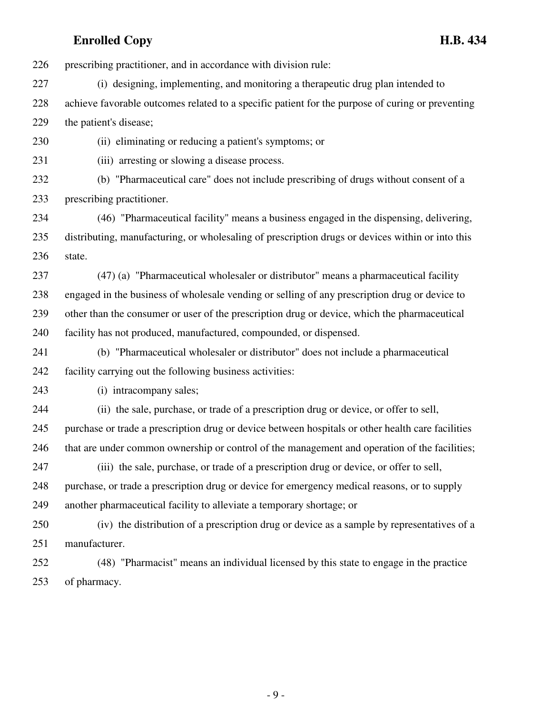226 prescribing practitioner, and in accordance with division rule:

227 (i) designing, implementing, and monitoring a therapeutic drug plan intended to 228 achieve favorable outcomes related to a specific patient for the purpose of curing or preventing 229 the patient's disease;

230 (ii) eliminating or reducing a patient's symptoms; or

231 (iii) arresting or slowing a disease process.

232 (b) "Pharmaceutical care" does not include prescribing of drugs without consent of a 233 prescribing practitioner.

234 (46) "Pharmaceutical facility" means a business engaged in the dispensing, delivering, 235 distributing, manufacturing, or wholesaling of prescription drugs or devices within or into this 236 state.

237 (47) (a) "Pharmaceutical wholesaler or distributor" means a pharmaceutical facility 238 engaged in the business of wholesale vending or selling of any prescription drug or device to 239 other than the consumer or user of the prescription drug or device, which the pharmaceutical 240 facility has not produced, manufactured, compounded, or dispensed.

241 (b) "Pharmaceutical wholesaler or distributor" does not include a pharmaceutical 242 facility carrying out the following business activities:

243 (i) intracompany sales;

244 (ii) the sale, purchase, or trade of a prescription drug or device, or offer to sell, 245 purchase or trade a prescription drug or device between hospitals or other health care facilities

246 that are under common ownership or control of the management and operation of the facilities;

247 (iii) the sale, purchase, or trade of a prescription drug or device, or offer to sell, 248 purchase, or trade a prescription drug or device for emergency medical reasons, or to supply 249 another pharmaceutical facility to alleviate a temporary shortage; or

250 (iv) the distribution of a prescription drug or device as a sample by representatives of a 251 manufacturer.

252 (48) "Pharmacist" means an individual licensed by this state to engage in the practice 253 of pharmacy.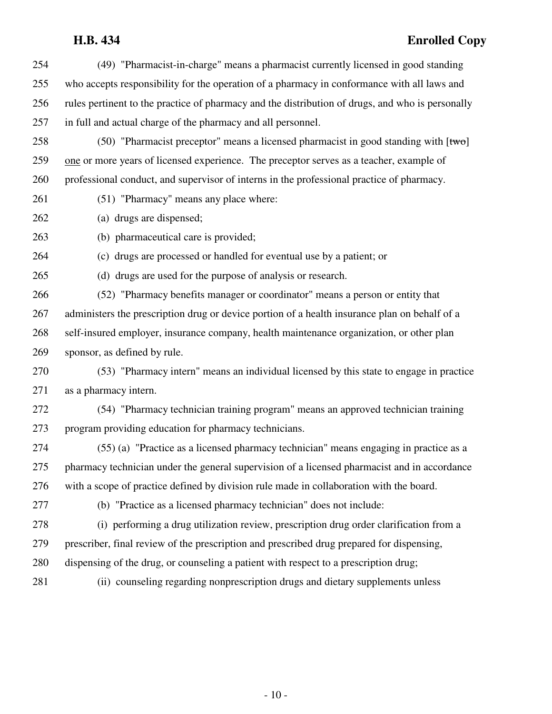254 (49) "Pharmacist-in-charge" means a pharmacist currently licensed in good standing 255 who accepts responsibility for the operation of a pharmacy in conformance with all laws and 256 rules pertinent to the practice of pharmacy and the distribution of drugs, and who is personally 257 in full and actual charge of the pharmacy and all personnel. 258 (50) "Pharmacist preceptor" means a licensed pharmacist in good standing with  $[{\text{two}}]$ 259 one or more years of licensed experience. The preceptor serves as a teacher, example of 260 professional conduct, and supervisor of interns in the professional practice of pharmacy. 261 (51) "Pharmacy" means any place where: 262 (a) drugs are dispensed; 263 (b) pharmaceutical care is provided; 264 (c) drugs are processed or handled for eventual use by a patient; or 265 (d) drugs are used for the purpose of analysis or research. 266 (52) "Pharmacy benefits manager or coordinator" means a person or entity that 267 administers the prescription drug or device portion of a health insurance plan on behalf of a 268 self-insured employer, insurance company, health maintenance organization, or other plan 269 sponsor, as defined by rule. 270 (53) "Pharmacy intern" means an individual licensed by this state to engage in practice 271 as a pharmacy intern. 272 (54) "Pharmacy technician training program" means an approved technician training 273 program providing education for pharmacy technicians. 274 (55) (a) "Practice as a licensed pharmacy technician" means engaging in practice as a 275 pharmacy technician under the general supervision of a licensed pharmacist and in accordance 276 with a scope of practice defined by division rule made in collaboration with the board. 277 (b) "Practice as a licensed pharmacy technician" does not include: 278 (i) performing a drug utilization review, prescription drug order clarification from a 279 prescriber, final review of the prescription and prescribed drug prepared for dispensing, 280 dispensing of the drug, or counseling a patient with respect to a prescription drug; 281 (ii) counseling regarding nonprescription drugs and dietary supplements unless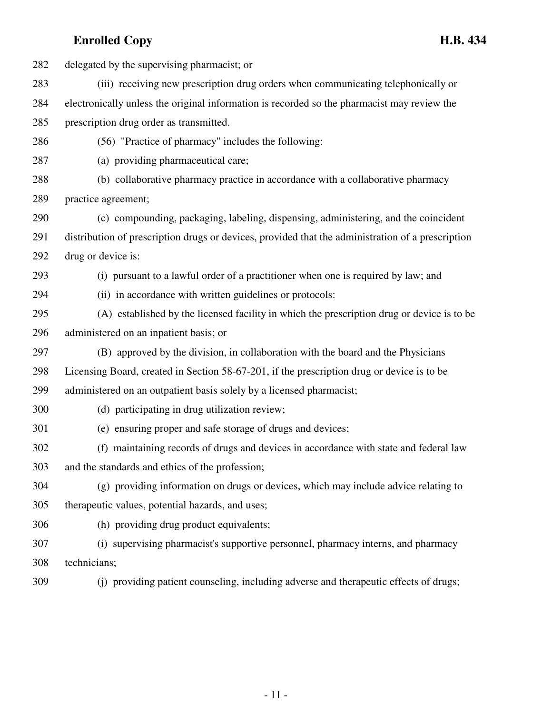| 282 | delegated by the supervising pharmacist; or                                                       |
|-----|---------------------------------------------------------------------------------------------------|
| 283 | (iii) receiving new prescription drug orders when communicating telephonically or                 |
| 284 | electronically unless the original information is recorded so the pharmacist may review the       |
| 285 | prescription drug order as transmitted.                                                           |
| 286 | (56) "Practice of pharmacy" includes the following:                                               |
| 287 | (a) providing pharmaceutical care;                                                                |
| 288 | (b) collaborative pharmacy practice in accordance with a collaborative pharmacy                   |
| 289 | practice agreement;                                                                               |
| 290 | (c) compounding, packaging, labeling, dispensing, administering, and the coincident               |
| 291 | distribution of prescription drugs or devices, provided that the administration of a prescription |
| 292 | drug or device is:                                                                                |
| 293 | (i) pursuant to a lawful order of a practitioner when one is required by law; and                 |
| 294 | (ii) in accordance with written guidelines or protocols:                                          |
| 295 | (A) established by the licensed facility in which the prescription drug or device is to be        |
| 296 | administered on an inpatient basis; or                                                            |
| 297 | (B) approved by the division, in collaboration with the board and the Physicians                  |
| 298 | Licensing Board, created in Section 58-67-201, if the prescription drug or device is to be        |
| 299 | administered on an outpatient basis solely by a licensed pharmacist;                              |
| 300 | (d) participating in drug utilization review;                                                     |
| 301 | (e) ensuring proper and safe storage of drugs and devices;                                        |
| 302 | (f) maintaining records of drugs and devices in accordance with state and federal law             |
| 303 | and the standards and ethics of the profession;                                                   |
| 304 | (g) providing information on drugs or devices, which may include advice relating to               |
| 305 | therapeutic values, potential hazards, and uses;                                                  |
| 306 | (h) providing drug product equivalents;                                                           |
| 307 | (i) supervising pharmacist's supportive personnel, pharmacy interns, and pharmacy                 |
| 308 | technicians;                                                                                      |
| 309 | (j) providing patient counseling, including adverse and therapeutic effects of drugs;             |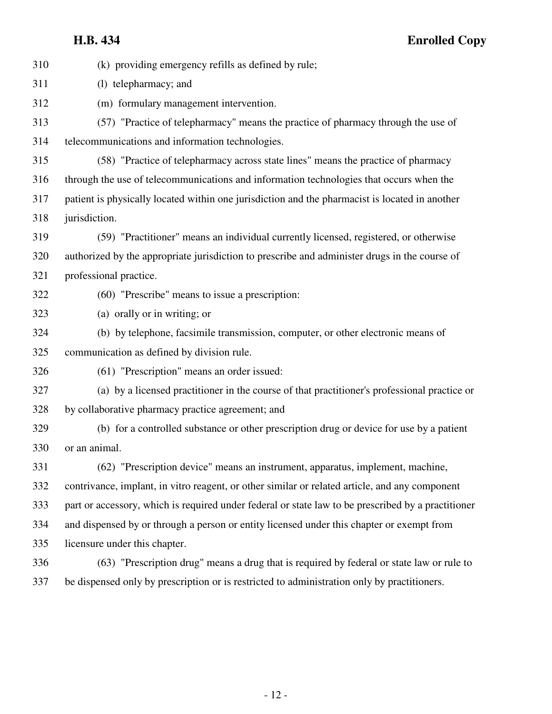| 310 | (k) providing emergency refills as defined by rule;                                                |
|-----|----------------------------------------------------------------------------------------------------|
| 311 | (l) telepharmacy; and                                                                              |
| 312 | (m) formulary management intervention.                                                             |
| 313 | (57) "Practice of telepharmacy" means the practice of pharmacy through the use of                  |
| 314 | telecommunications and information technologies.                                                   |
| 315 | (58) "Practice of telepharmacy across state lines" means the practice of pharmacy                  |
| 316 | through the use of telecommunications and information technologies that occurs when the            |
| 317 | patient is physically located within one jurisdiction and the pharmacist is located in another     |
| 318 | jurisdiction.                                                                                      |
| 319 | (59) "Practitioner" means an individual currently licensed, registered, or otherwise               |
| 320 | authorized by the appropriate jurisdiction to prescribe and administer drugs in the course of      |
| 321 | professional practice.                                                                             |
| 322 | (60) "Prescribe" means to issue a prescription:                                                    |
| 323 | (a) orally or in writing; or                                                                       |
| 324 | (b) by telephone, facsimile transmission, computer, or other electronic means of                   |
| 325 | communication as defined by division rule.                                                         |
| 326 | (61) "Prescription" means an order issued:                                                         |
| 327 | (a) by a licensed practitioner in the course of that practitioner's professional practice or       |
| 328 | by collaborative pharmacy practice agreement; and                                                  |
| 329 | (b) for a controlled substance or other prescription drug or device for use by a patient           |
| 330 | or an animal.                                                                                      |
| 331 | (62) "Prescription device" means an instrument, apparatus, implement, machine,                     |
| 332 | contrivance, implant, in vitro reagent, or other similar or related article, and any component     |
| 333 | part or accessory, which is required under federal or state law to be prescribed by a practitioner |
| 334 | and dispensed by or through a person or entity licensed under this chapter or exempt from          |
| 335 | licensure under this chapter.                                                                      |
| 336 | (63) "Prescription drug" means a drug that is required by federal or state law or rule to          |
| 337 | be dispensed only by prescription or is restricted to administration only by practitioners.        |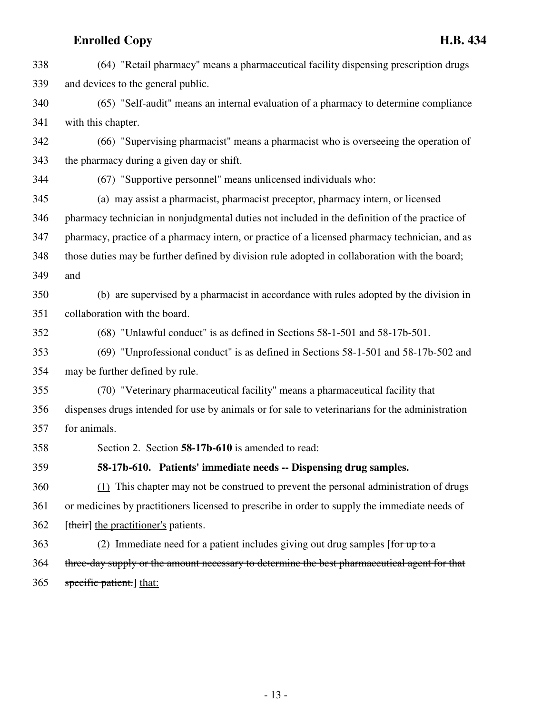338 (64) "Retail pharmacy" means a pharmaceutical facility dispensing prescription drugs 339 and devices to the general public. 340 (65) "Self-audit" means an internal evaluation of a pharmacy to determine compliance 341 with this chapter. 342 (66) "Supervising pharmacist" means a pharmacist who is overseeing the operation of 343 the pharmacy during a given day or shift. 344 (67) "Supportive personnel" means unlicensed individuals who: 345 (a) may assist a pharmacist, pharmacist preceptor, pharmacy intern, or licensed 346 pharmacy technician in nonjudgmental duties not included in the definition of the practice of 347 pharmacy, practice of a pharmacy intern, or practice of a licensed pharmacy technician, and as 348 those duties may be further defined by division rule adopted in collaboration with the board; 349 and 350 (b) are supervised by a pharmacist in accordance with rules adopted by the division in 351 collaboration with the board. 352 (68) "Unlawful conduct" is as defined in Sections 58-1-501 and 58-17b-501. 353 (69) "Unprofessional conduct" is as defined in Sections 58-1-501 and 58-17b-502 and 354 may be further defined by rule. 355 (70) "Veterinary pharmaceutical facility" means a pharmaceutical facility that 356 dispenses drugs intended for use by animals or for sale to veterinarians for the administration 357 for animals. 358 Section 2. Section **58-17b-610** is amended to read: 359 **58-17b-610. Patients' immediate needs -- Dispensing drug samples.** 360 (1) This chapter may not be construed to prevent the personal administration of drugs 361 or medicines by practitioners licensed to prescribe in order to supply the immediate needs of 362 [their] the practitioner's patients. 363 (2) Immediate need for a patient includes giving out drug samples [for up to a 364 three-day supply or the amount necessary to determine the best pharmaceutical agent for that

365 specific patient.] that: